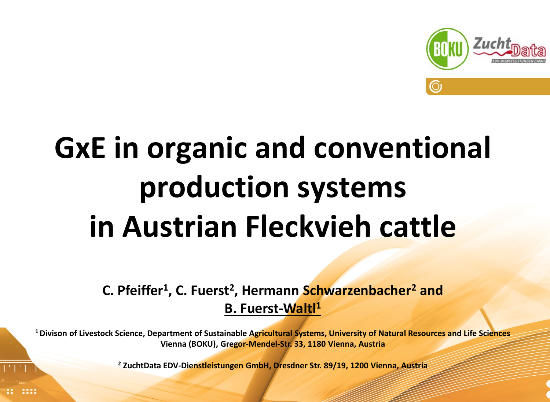

## **GxE in organic and conventional production systems in Austrian Fleckvieh cattle**

**C. Pfeiffer1, C. Fuerst2, Hermann Schwarzenbacher2 and B. Fuerst-Waltl1**

**1 Divison of Livestock Science, Department of Sustainable Agricultural Systems, University of Natural Resources and Life Sciences Vienna (BOKU), Gregor-Mendel-Str. 33, 1180 Vienna, Austria**

> EAAP 2016 **I** G x E organic – conventional **I** Pfeiffer et al. **<sup>2</sup> ZuchtData EDV-Dienstleistungen GmbH, Dresdner Str. 89/19, 1200 Vienna, Austria**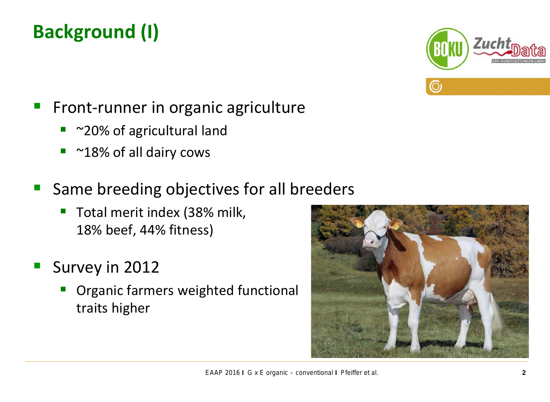#### **Background (І)**



- Front-runner in organic agriculture
	- ~20% of agricultural land
	- ~18% of all dairy cows
- Same breeding objectives for all breeders
	- **T** Total merit index (38% milk, 18% beef, 44% fitness)
- Survey in 2012
	- Organic farmers weighted functional traits higher

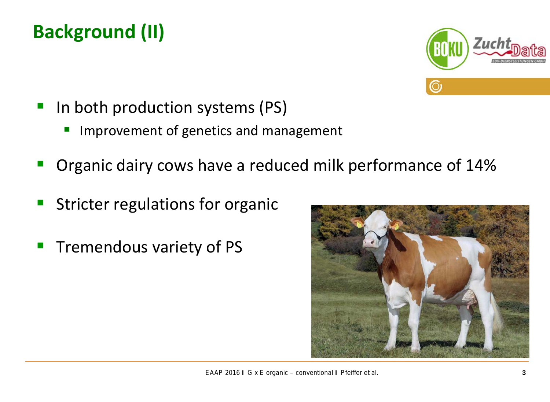#### **Background (ІI)**



- In both production systems (PS)
	- Improvement of genetics and management
- Organic dairy cows have a reduced milk performance of 14%
- Stricter regulations for organic
- Tremendous variety of PS

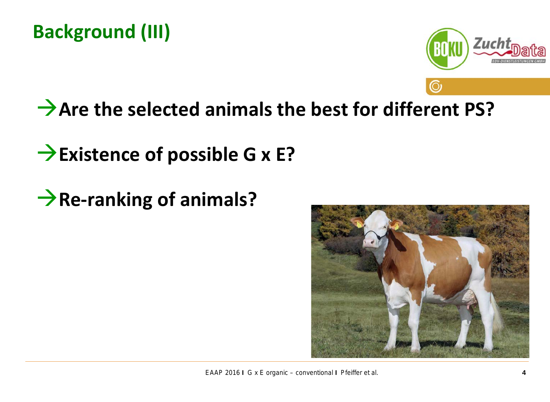

### **Are the selected animals the best for different PS?**

### **Existence of possible G x E?**

**Re-ranking of animals?** 

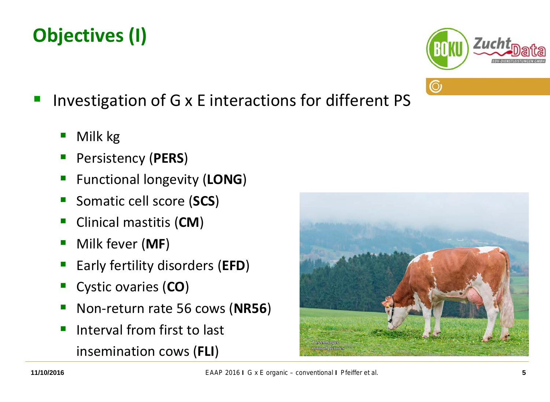#### Investigation of G x E interactions for different PS

- Milk kg
- Persistency (**PERS**)
- **Functional longevity (LONG)**
- Somatic cell score (**SCS**)
- Clinical mastitis (**CM**)
- Milk fever (**MF**)
- Early fertility disorders (**EFD**)
- Cystic ovaries (**CO**)
- Non-return rate 56 cows (**NR56**)
- Interval from first to last insemination cows (**FLI**)



 $\odot$ 

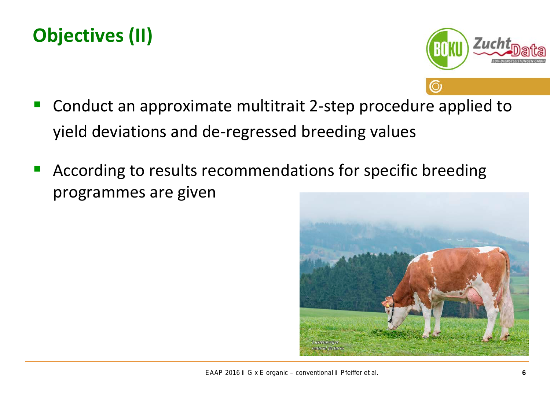#### **Objectives (II)**



- Conduct an approximate multitrait 2-step procedure applied to yield deviations and de-regressed breeding values
- **According to results recommendations for specific breeding** programmes are given

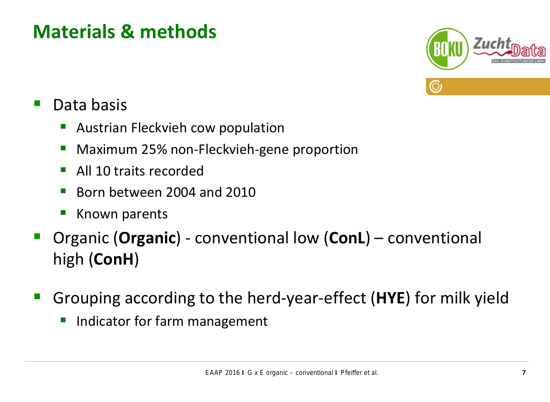#### **Materials & methods**



#### Data basis

- **Austrian Fleckvieh cow population**
- **Maximum 25% non-Fleckvieh-gene proportion**
- **All 10 traits recorded**
- Born between 2004 and 2010
- **Known parents**
- Organic (**Organic**) conventional low (**ConL**) conventional high (**ConH**)
- Grouping according to the herd-year-effect (**HYE**) for milk yield
	- **Indicator for farm management**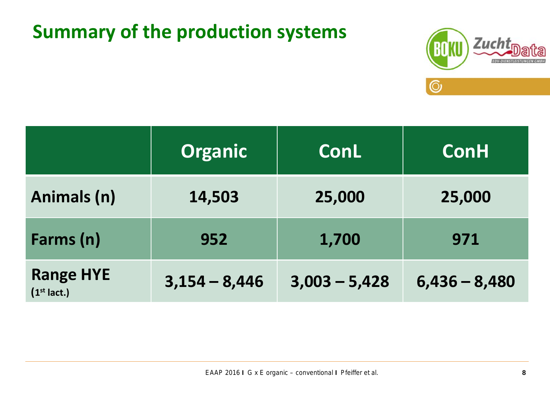#### **Summary of the production systems**



|                                   | <b>Organic</b>  | <b>ConL</b>     | <b>ConH</b>     |
|-----------------------------------|-----------------|-----------------|-----------------|
| Animals (n)                       | 14,503          | 25,000          | 25,000          |
| Farms (n)                         | 1,700<br>952    |                 | 971             |
| <b>Range HYE</b><br>$(1st$ lact.) | $3,154 - 8,446$ | $3,003 - 5,428$ | $6,436 - 8,480$ |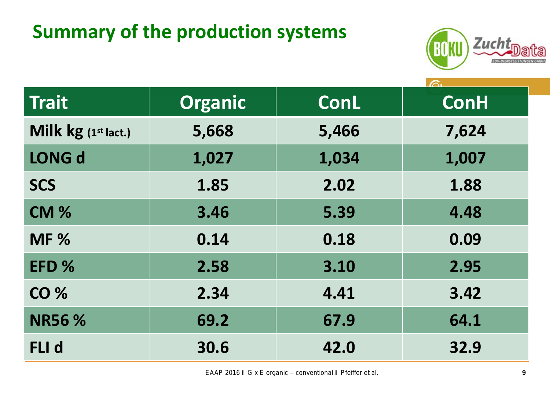#### **Summary of the production systems**



| <b>Trait</b>        | <b>Organic</b> | <b>ConH</b><br><b>ConL</b> |       |
|---------------------|----------------|----------------------------|-------|
| Milk kg (1st lact.) | 5,668          | 5,466                      | 7,624 |
| <b>LONG d</b>       | 1,027          | 1,034                      | 1,007 |
| <b>SCS</b>          | 1.85           | 2.02                       | 1.88  |
| <b>CM %</b>         | 3.46           | 5.39                       | 4.48  |
| <b>MF %</b>         | 0.14           | 0.18                       | 0.09  |
| EFD %               | 2.58           | 3.10                       | 2.95  |
| <b>CO %</b>         | 2.34           | 4.41                       | 3.42  |
| <b>NR56 %</b>       | 69.2           | 67.9                       | 64.1  |
| FLI d               | 30.6           | 42.0                       | 32.9  |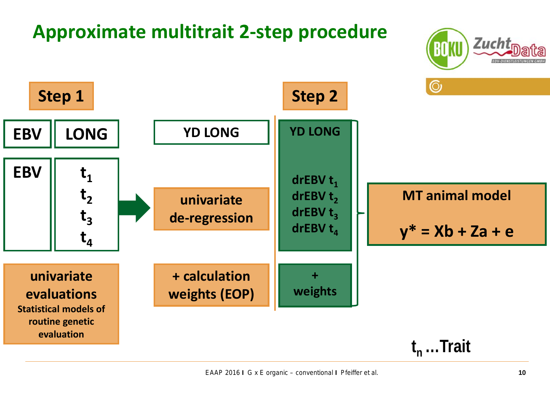#### **Approximate multitrait 2-step procedure**



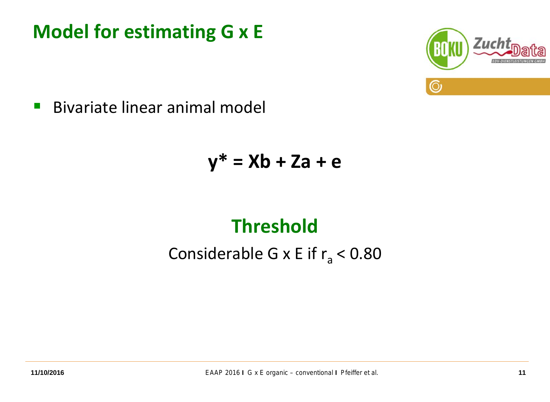#### **Model for estimating G x E**



**Bivariate linear animal model** 

$$
y^* = Xb + Za + e
$$

#### **Threshold**

Considerable G x E if  $r_a < 0.80$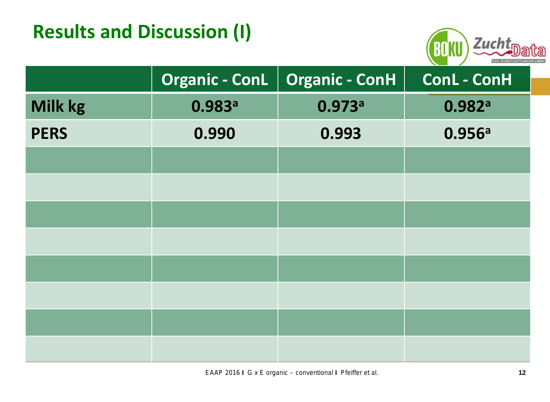#### **Results and Discussion (I)**



|             | <b>Organic - ConL</b> | <b>Organic - ConH</b> | <b>ConL - ConH</b> |
|-------------|-----------------------|-----------------------|--------------------|
| Milk kg     | 0.983a                | 0.973a                | 0.982a             |
| <b>PERS</b> | 0.990                 | 0.993                 | 0.956a             |
|             |                       |                       |                    |
|             |                       |                       |                    |
|             |                       |                       |                    |
|             |                       |                       |                    |
|             |                       |                       |                    |
|             |                       |                       |                    |
|             |                       |                       |                    |
|             |                       |                       |                    |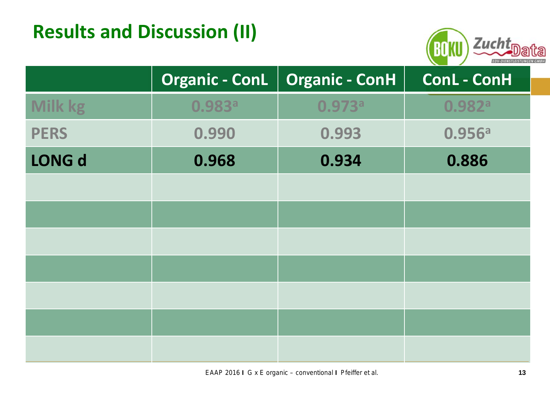#### **Results and Discussion (II)**



|                | <b>Organic - ConL</b> | <b>Organic - ConH</b> | <b>ConL - ConH</b> |
|----------------|-----------------------|-----------------------|--------------------|
| <b>Milk kg</b> | 0.983 <sup>a</sup>    | 0.973 <sup>a</sup>    | 0.982 <sup>a</sup> |
| <b>PERS</b>    | 0.990                 | 0.993                 | 0.956a             |
| <b>LONG d</b>  | 0.968                 | 0.934                 | 0.886              |
|                |                       |                       |                    |
|                |                       |                       |                    |
|                |                       |                       |                    |
|                |                       |                       |                    |
|                |                       |                       |                    |
|                |                       |                       |                    |
|                |                       |                       |                    |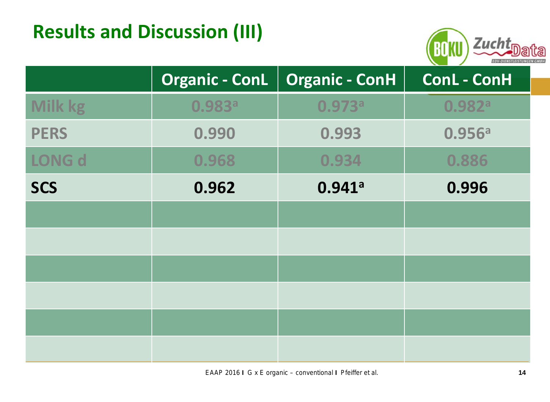#### **Results and Discussion (III)**



|                | <b>Organic - ConL</b> | <b>Organic - ConH</b> | ConL - ConH        |  |
|----------------|-----------------------|-----------------------|--------------------|--|
| <b>Milk kg</b> | 0.983 <sup>a</sup>    | 0.973a                | 0.982 <sup>a</sup> |  |
| <b>PERS</b>    | 0.990                 | 0.993                 | 0.956a             |  |
| LONG d         | 0.968                 | 0.934                 | 0.886              |  |
| <b>SCS</b>     | 0.941a<br>0.962       |                       | 0.996              |  |
|                |                       |                       |                    |  |
|                |                       |                       |                    |  |
|                |                       |                       |                    |  |
|                |                       |                       |                    |  |
|                |                       |                       |                    |  |
|                |                       |                       |                    |  |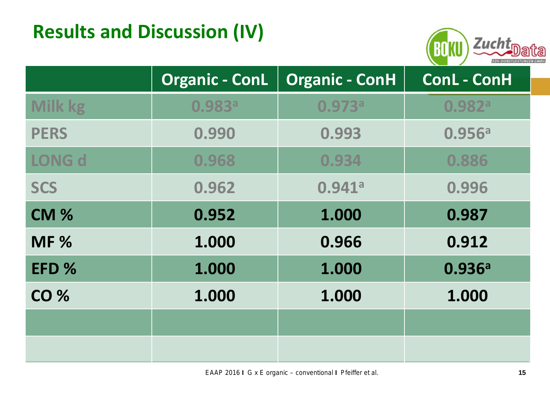#### **Results and Discussion (IV)**



|                | <b>Organic - ConH</b><br>Organic - ConL |        | ConL - ConH        |  |
|----------------|-----------------------------------------|--------|--------------------|--|
| <b>Milk kg</b> | 0.983 <sup>a</sup>                      | 0.973a | 0.982 <sup>a</sup> |  |
| <b>PERS</b>    | 0.990<br>0.993                          |        | 0.956a             |  |
| <b>LONG d</b>  | 0.968                                   | 0.934  | 0.886              |  |
| <b>SCS</b>     | 0.962                                   | 0.941a | 0.996              |  |
| <b>CM %</b>    | 0.952                                   | 1.000  | 0.987              |  |
| <b>MF %</b>    | 1.000                                   | 0.966  | 0.912              |  |
| EFD %          | 1.000                                   | 1.000  | 0.936a             |  |
| <b>CO %</b>    | 1.000                                   | 1.000  | 1.000              |  |
|                |                                         |        |                    |  |
|                |                                         |        |                    |  |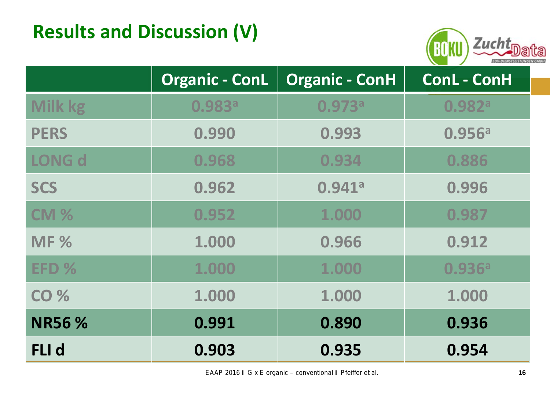#### **Results and Discussion (V)**



|                 | <b>Organic - ConL</b> | <b>Organic - ConH</b> |                    |
|-----------------|-----------------------|-----------------------|--------------------|
| <b>Milk kg</b>  | 0.983 <sup>a</sup>    | 0.973a                | 0.982 <sup>a</sup> |
| <b>PERS</b>     | 0.990                 | 0.993                 | 0.956a             |
| <b>LONG d</b>   | 0.968                 | 0.934                 | 0.886              |
| <b>SCS</b>      | 0.962                 | 0.941a                | 0.996              |
| CM <sub>%</sub> | 0.952                 | 1.000                 | 0.987              |
| <b>MF %</b>     | 1.000                 | 0.966                 | 0.912              |
| EFD %           | 1.000                 | 1.000                 | 0.936a             |
| <b>CO %</b>     | 1.000                 | 1.000                 | 1.000              |
| <b>NR56 %</b>   | 0.991                 | 0.890                 | 0.936              |
| <b>FLI</b> d    | 0.903                 | 0.935                 | 0.954              |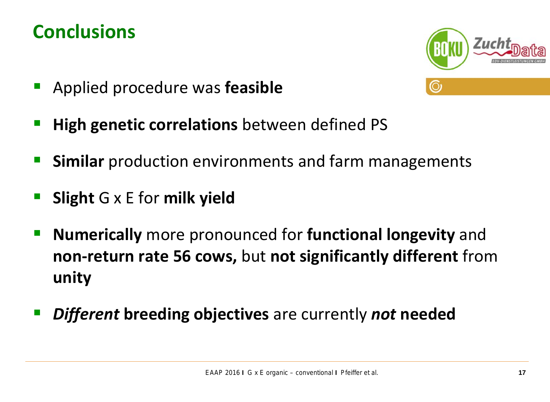#### **Conclusions**



- Applied procedure was **feasible**
- **High genetic correlations** between defined PS
- **Similar** production environments and farm managements
- **Slight** G x E for **milk yield**
- **Numerically** more pronounced for **functional longevity** and **non-return rate 56 cows,** but **not significantly different** from **unity**
- *Different* **breeding objectives** are currently *not* **needed**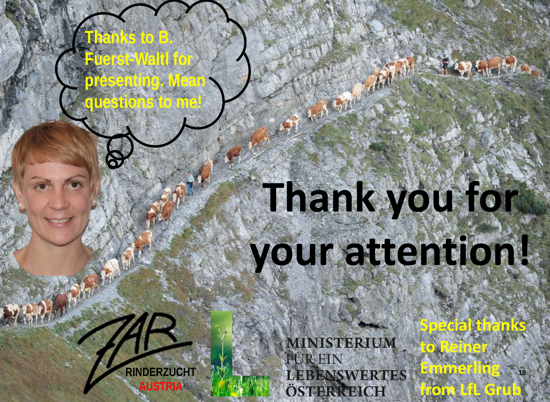# **Thank you for your attention!**

TER FINAL PROPERTY

**RINDERZUCHT AUSTRIA**

**Thanks to B.** 

**Fuerst-Waltl for** 

**presenting. Mean** 

**questions to me!**

**Special thanks MINISTERIUM to Reiner FÜR EIN Emmerling LEBENSWERTES from LfL Grub** ÖSTERKEICH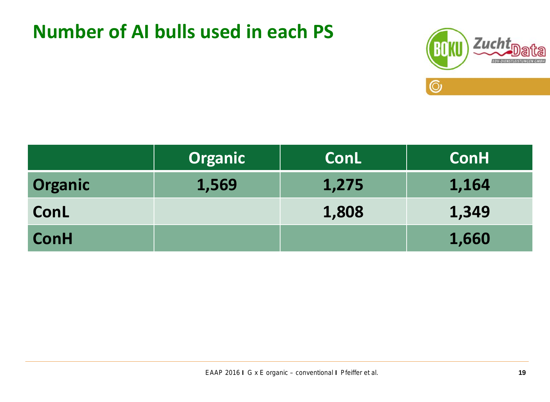#### **Number of AI bulls used in each PS**



|                | <b>Organic</b> | <b>ConL</b> | <b>ConH</b> |
|----------------|----------------|-------------|-------------|
| <b>Organic</b> | 1,569          | 1,275       | 1,164       |
| ConL           |                | 1,808       | 1,349       |
| <b>ConH</b>    |                |             | 1,660       |